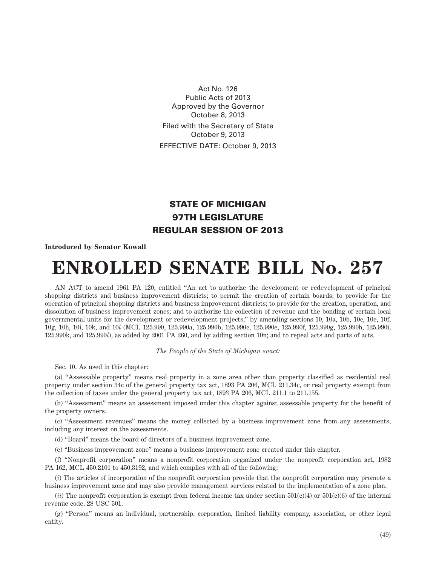Act No. 126 Public Acts of 2013 Approved by the Governor October 8, 2013 Filed with the Secretary of State October 9, 2013 EFFECTIVE DATE: October 9, 2013

## STATE OF MICHIGAN 97TH LEGISLATURE REGULAR SESSION OF 2013

## **Introduced by Senator Kowall**

## **ENROLLED SENATE BILL No. 257**

AN ACT to amend 1961 PA 120, entitled "An act to authorize the development or redevelopment of principal shopping districts and business improvement districts; to permit the creation of certain boards; to provide for the operation of principal shopping districts and business improvement districts; to provide for the creation, operation, and dissolution of business improvement zones; and to authorize the collection of revenue and the bonding of certain local governmental units for the development or redevelopment projects," by amending sections 10, 10a, 10b, 10c, 10e, 10f, 10g, 10h, 10i, 10k, and 10*l* (MCL 125.990, 125.990a, 125.990b, 125.990c, 125.990e, 125.990f, 125.990g, 125.990h, 125.990i, 125.990k, and 125.990*l*), as added by 2001 PA 260, and by adding section 10n; and to repeal acts and parts of acts.

## *The People of the State of Michigan enact:*

Sec. 10. As used in this chapter:

(a) "Assessable property" means real property in a zone area other than property classified as residential real property under section 34c of the general property tax act, 1893 PA 206, MCL 211.34c, or real property exempt from the collection of taxes under the general property tax act, 1893 PA 206, MCL 211.1 to 211.155.

(b) "Assessment" means an assessment imposed under this chapter against assessable property for the benefit of the property owners.

(c) "Assessment revenues" means the money collected by a business improvement zone from any assessments, including any interest on the assessments.

(d) "Board" means the board of directors of a business improvement zone.

(e) "Business improvement zone" means a business improvement zone created under this chapter.

(f) "Nonprofit corporation" means a nonprofit corporation organized under the nonprofit corporation act, 1982 PA 162, MCL 450.2101 to 450.3192, and which complies with all of the following:

(*i*) The articles of incorporation of the nonprofit corporation provide that the nonprofit corporation may promote a business improvement zone and may also provide management services related to the implementation of a zone plan.

 $(iii)$  The nonprofit corporation is exempt from federal income tax under section  $501(c)(4)$  or  $501(c)(6)$  of the internal revenue code, 28 USC 501.

(g) "Person" means an individual, partnership, corporation, limited liability company, association, or other legal entity.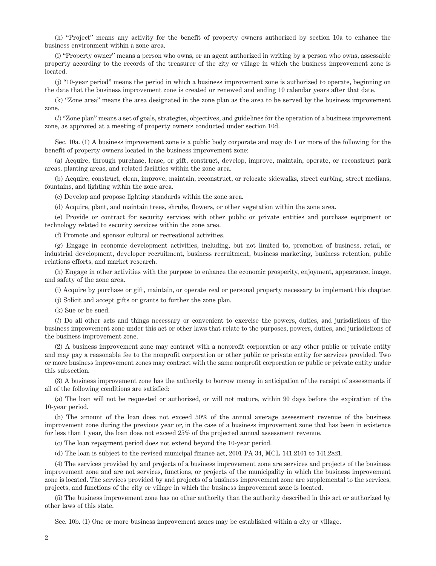(h) "Project" means any activity for the benefit of property owners authorized by section 10a to enhance the business environment within a zone area.

(i) "Property owner" means a person who owns, or an agent authorized in writing by a person who owns, assessable property according to the records of the treasurer of the city or village in which the business improvement zone is located.

(j) "10-year period" means the period in which a business improvement zone is authorized to operate, beginning on the date that the business improvement zone is created or renewed and ending 10 calendar years after that date.

(k) "Zone area" means the area designated in the zone plan as the area to be served by the business improvement zone.

(*l*) "Zone plan" means a set of goals, strategies, objectives, and guidelines for the operation of a business improvement zone, as approved at a meeting of property owners conducted under section 10d.

Sec. 10a. (1) A business improvement zone is a public body corporate and may do 1 or more of the following for the benefit of property owners located in the business improvement zone:

(a) Acquire, through purchase, lease, or gift, construct, develop, improve, maintain, operate, or reconstruct park areas, planting areas, and related facilities within the zone area.

(b) Acquire, construct, clean, improve, maintain, reconstruct, or relocate sidewalks, street curbing, street medians, fountains, and lighting within the zone area.

(c) Develop and propose lighting standards within the zone area.

(d) Acquire, plant, and maintain trees, shrubs, flowers, or other vegetation within the zone area.

(e) Provide or contract for security services with other public or private entities and purchase equipment or technology related to security services within the zone area.

(f) Promote and sponsor cultural or recreational activities.

(g) Engage in economic development activities, including, but not limited to, promotion of business, retail, or industrial development, developer recruitment, business recruitment, business marketing, business retention, public relations efforts, and market research.

(h) Engage in other activities with the purpose to enhance the economic prosperity, enjoyment, appearance, image, and safety of the zone area.

(i) Acquire by purchase or gift, maintain, or operate real or personal property necessary to implement this chapter.

(j) Solicit and accept gifts or grants to further the zone plan.

(k) Sue or be sued.

(*l*) Do all other acts and things necessary or convenient to exercise the powers, duties, and jurisdictions of the business improvement zone under this act or other laws that relate to the purposes, powers, duties, and jurisdictions of the business improvement zone.

(2) A business improvement zone may contract with a nonprofit corporation or any other public or private entity and may pay a reasonable fee to the nonprofit corporation or other public or private entity for services provided. Two or more business improvement zones may contract with the same nonprofit corporation or public or private entity under this subsection.

(3) A business improvement zone has the authority to borrow money in anticipation of the receipt of assessments if all of the following conditions are satisfied:

(a) The loan will not be requested or authorized, or will not mature, within 90 days before the expiration of the 10-year period.

(b) The amount of the loan does not exceed 50% of the annual average assessment revenue of the business improvement zone during the previous year or, in the case of a business improvement zone that has been in existence for less than 1 year, the loan does not exceed 25% of the projected annual assessment revenue.

(c) The loan repayment period does not extend beyond the 10-year period.

(d) The loan is subject to the revised municipal finance act, 2001 PA 34, MCL 141.2101 to 141.2821.

(4) The services provided by and projects of a business improvement zone are services and projects of the business improvement zone and are not services, functions, or projects of the municipality in which the business improvement zone is located. The services provided by and projects of a business improvement zone are supplemental to the services, projects, and functions of the city or village in which the business improvement zone is located.

(5) The business improvement zone has no other authority than the authority described in this act or authorized by other laws of this state.

Sec. 10b. (1) One or more business improvement zones may be established within a city or village.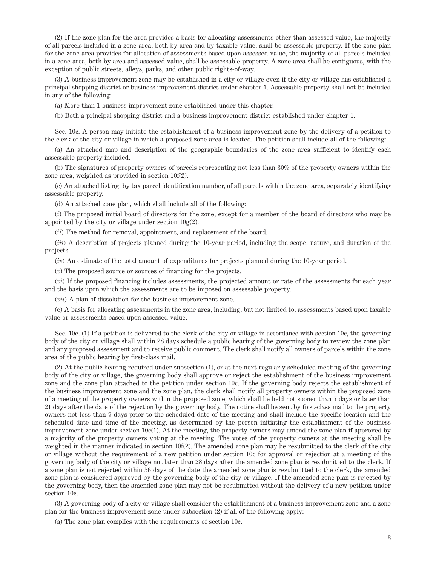(2) If the zone plan for the area provides a basis for allocating assessments other than assessed value, the majority of all parcels included in a zone area, both by area and by taxable value, shall be assessable property. If the zone plan for the zone area provides for allocation of assessments based upon assessed value, the majority of all parcels included in a zone area, both by area and assessed value, shall be assessable property. A zone area shall be contiguous, with the exception of public streets, alleys, parks, and other public rights-of-way.

(3) A business improvement zone may be established in a city or village even if the city or village has established a principal shopping district or business improvement district under chapter 1. Assessable property shall not be included in any of the following:

(a) More than 1 business improvement zone established under this chapter.

(b) Both a principal shopping district and a business improvement district established under chapter 1.

Sec. 10c. A person may initiate the establishment of a business improvement zone by the delivery of a petition to the clerk of the city or village in which a proposed zone area is located. The petition shall include all of the following:

(a) An attached map and description of the geographic boundaries of the zone area sufficient to identify each assessable property included.

(b) The signatures of property owners of parcels representing not less than 30% of the property owners within the zone area, weighted as provided in section 10f(2).

(c) An attached listing, by tax parcel identification number, of all parcels within the zone area, separately identifying assessable property.

(d) An attached zone plan, which shall include all of the following:

(*i*) The proposed initial board of directors for the zone, except for a member of the board of directors who may be appointed by the city or village under section  $10g(2)$ .

(*ii*) The method for removal, appointment, and replacement of the board.

(*iii*) A description of projects planned during the 10-year period, including the scope, nature, and duration of the projects.

(*iv*) An estimate of the total amount of expenditures for projects planned during the 10-year period.

(*v*) The proposed source or sources of financing for the projects.

(*vi*) If the proposed financing includes assessments, the projected amount or rate of the assessments for each year and the basis upon which the assessments are to be imposed on assessable property.

(*vii*) A plan of dissolution for the business improvement zone.

(e) A basis for allocating assessments in the zone area, including, but not limited to, assessments based upon taxable value or assessments based upon assessed value.

Sec. 10e. (1) If a petition is delivered to the clerk of the city or village in accordance with section 10c, the governing body of the city or village shall within 28 days schedule a public hearing of the governing body to review the zone plan and any proposed assessment and to receive public comment. The clerk shall notify all owners of parcels within the zone area of the public hearing by first-class mail.

(2) At the public hearing required under subsection (1), or at the next regularly scheduled meeting of the governing body of the city or village, the governing body shall approve or reject the establishment of the business improvement zone and the zone plan attached to the petition under section 10c. If the governing body rejects the establishment of the business improvement zone and the zone plan, the clerk shall notify all property owners within the proposed zone of a meeting of the property owners within the proposed zone, which shall be held not sooner than 7 days or later than 21 days after the date of the rejection by the governing body. The notice shall be sent by first-class mail to the property owners not less than 7 days prior to the scheduled date of the meeting and shall include the specific location and the scheduled date and time of the meeting, as determined by the person initiating the establishment of the business improvement zone under section 10c(1). At the meeting, the property owners may amend the zone plan if approved by a majority of the property owners voting at the meeting. The votes of the property owners at the meeting shall be weighted in the manner indicated in section 10f(2). The amended zone plan may be resubmitted to the clerk of the city or village without the requirement of a new petition under section 10c for approval or rejection at a meeting of the governing body of the city or village not later than 28 days after the amended zone plan is resubmitted to the clerk. If a zone plan is not rejected within 56 days of the date the amended zone plan is resubmitted to the clerk, the amended zone plan is considered approved by the governing body of the city or village. If the amended zone plan is rejected by the governing body, then the amended zone plan may not be resubmitted without the delivery of a new petition under section 10c.

(3) A governing body of a city or village shall consider the establishment of a business improvement zone and a zone plan for the business improvement zone under subsection (2) if all of the following apply:

(a) The zone plan complies with the requirements of section 10c.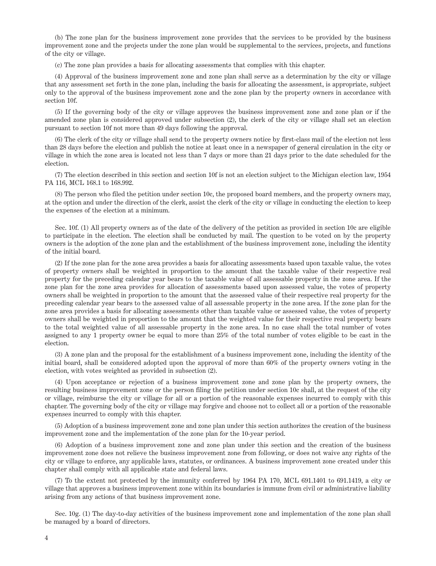(b) The zone plan for the business improvement zone provides that the services to be provided by the business improvement zone and the projects under the zone plan would be supplemental to the services, projects, and functions of the city or village.

(c) The zone plan provides a basis for allocating assessments that complies with this chapter.

(4) Approval of the business improvement zone and zone plan shall serve as a determination by the city or village that any assessment set forth in the zone plan, including the basis for allocating the assessment, is appropriate, subject only to the approval of the business improvement zone and the zone plan by the property owners in accordance with section 10f.

(5) If the governing body of the city or village approves the business improvement zone and zone plan or if the amended zone plan is considered approved under subsection (2), the clerk of the city or village shall set an election pursuant to section 10f not more than 49 days following the approval.

(6) The clerk of the city or village shall send to the property owners notice by first-class mail of the election not less than 28 days before the election and publish the notice at least once in a newspaper of general circulation in the city or village in which the zone area is located not less than 7 days or more than 21 days prior to the date scheduled for the election.

(7) The election described in this section and section 10f is not an election subject to the Michigan election law, 1954 PA 116, MCL 168.1 to 168.992.

(8) The person who filed the petition under section 10c, the proposed board members, and the property owners may, at the option and under the direction of the clerk, assist the clerk of the city or village in conducting the election to keep the expenses of the election at a minimum.

Sec. 10f. (1) All property owners as of the date of the delivery of the petition as provided in section 10c are eligible to participate in the election. The election shall be conducted by mail. The question to be voted on by the property owners is the adoption of the zone plan and the establishment of the business improvement zone, including the identity of the initial board.

(2) If the zone plan for the zone area provides a basis for allocating assessments based upon taxable value, the votes of property owners shall be weighted in proportion to the amount that the taxable value of their respective real property for the preceding calendar year bears to the taxable value of all assessable property in the zone area. If the zone plan for the zone area provides for allocation of assessments based upon assessed value, the votes of property owners shall be weighted in proportion to the amount that the assessed value of their respective real property for the preceding calendar year bears to the assessed value of all assessable property in the zone area. If the zone plan for the zone area provides a basis for allocating assessments other than taxable value or assessed value, the votes of property owners shall be weighted in proportion to the amount that the weighted value for their respective real property bears to the total weighted value of all assessable property in the zone area. In no case shall the total number of votes assigned to any 1 property owner be equal to more than 25% of the total number of votes eligible to be cast in the election.

(3) A zone plan and the proposal for the establishment of a business improvement zone, including the identity of the initial board, shall be considered adopted upon the approval of more than 60% of the property owners voting in the election, with votes weighted as provided in subsection (2).

(4) Upon acceptance or rejection of a business improvement zone and zone plan by the property owners, the resulting business improvement zone or the person filing the petition under section 10c shall, at the request of the city or village, reimburse the city or village for all or a portion of the reasonable expenses incurred to comply with this chapter. The governing body of the city or village may forgive and choose not to collect all or a portion of the reasonable expenses incurred to comply with this chapter.

(5) Adoption of a business improvement zone and zone plan under this section authorizes the creation of the business improvement zone and the implementation of the zone plan for the 10-year period.

(6) Adoption of a business improvement zone and zone plan under this section and the creation of the business improvement zone does not relieve the business improvement zone from following, or does not waive any rights of the city or village to enforce, any applicable laws, statutes, or ordinances. A business improvement zone created under this chapter shall comply with all applicable state and federal laws.

(7) To the extent not protected by the immunity conferred by 1964 PA 170, MCL 691.1401 to 691.1419, a city or village that approves a business improvement zone within its boundaries is immune from civil or administrative liability arising from any actions of that business improvement zone.

Sec. 10g. (1) The day-to-day activities of the business improvement zone and implementation of the zone plan shall be managed by a board of directors.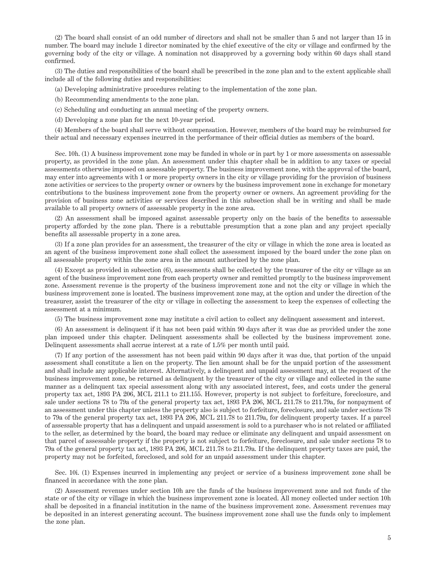(2) The board shall consist of an odd number of directors and shall not be smaller than 5 and not larger than 15 in number. The board may include 1 director nominated by the chief executive of the city or village and confirmed by the governing body of the city or village. A nomination not disapproved by a governing body within 60 days shall stand confirmed.

(3) The duties and responsibilities of the board shall be prescribed in the zone plan and to the extent applicable shall include all of the following duties and responsibilities:

(a) Developing administrative procedures relating to the implementation of the zone plan.

(b) Recommending amendments to the zone plan.

(c) Scheduling and conducting an annual meeting of the property owners.

(d) Developing a zone plan for the next 10-year period.

(4) Members of the board shall serve without compensation. However, members of the board may be reimbursed for their actual and necessary expenses incurred in the performance of their official duties as members of the board.

Sec. 10h. (1) A business improvement zone may be funded in whole or in part by 1 or more assessments on assessable property, as provided in the zone plan. An assessment under this chapter shall be in addition to any taxes or special assessments otherwise imposed on assessable property. The business improvement zone, with the approval of the board, may enter into agreements with 1 or more property owners in the city or village providing for the provision of business zone activities or services to the property owner or owners by the business improvement zone in exchange for monetary contributions to the business improvement zone from the property owner or owners. An agreement providing for the provision of business zone activities or services described in this subsection shall be in writing and shall be made available to all property owners of assessable property in the zone area.

(2) An assessment shall be imposed against assessable property only on the basis of the benefits to assessable property afforded by the zone plan. There is a rebuttable presumption that a zone plan and any project specially benefits all assessable property in a zone area.

(3) If a zone plan provides for an assessment, the treasurer of the city or village in which the zone area is located as an agent of the business improvement zone shall collect the assessment imposed by the board under the zone plan on all assessable property within the zone area in the amount authorized by the zone plan.

(4) Except as provided in subsection (6), assessments shall be collected by the treasurer of the city or village as an agent of the business improvement zone from each property owner and remitted promptly to the business improvement zone. Assessment revenue is the property of the business improvement zone and not the city or village in which the business improvement zone is located. The business improvement zone may, at the option and under the direction of the treasurer, assist the treasurer of the city or village in collecting the assessment to keep the expenses of collecting the assessment at a minimum.

(5) The business improvement zone may institute a civil action to collect any delinquent assessment and interest.

(6) An assessment is delinquent if it has not been paid within 90 days after it was due as provided under the zone plan imposed under this chapter. Delinquent assessments shall be collected by the business improvement zone. Delinquent assessments shall accrue interest at a rate of 1.5% per month until paid.

(7) If any portion of the assessment has not been paid within 90 days after it was due, that portion of the unpaid assessment shall constitute a lien on the property. The lien amount shall be for the unpaid portion of the assessment and shall include any applicable interest. Alternatively, a delinquent and unpaid assessment may, at the request of the business improvement zone, be returned as delinquent by the treasurer of the city or village and collected in the same manner as a delinquent tax special assessment along with any associated interest, fees, and costs under the general property tax act, 1893 PA 206, MCL 211.1 to 211.155. However, property is not subject to forfeiture, foreclosure, and sale under sections 78 to 79a of the general property tax act, 1893 PA 206, MCL 211.78 to 211.79a, for nonpayment of an assessment under this chapter unless the property also is subject to forfeiture, foreclosure, and sale under sections 78 to 79a of the general property tax act, 1893 PA 206, MCL 211.78 to 211.79a, for delinquent property taxes. If a parcel of assessable property that has a delinquent and unpaid assessment is sold to a purchaser who is not related or affiliated to the seller, as determined by the board, the board may reduce or eliminate any delinquent and unpaid assessment on that parcel of assessable property if the property is not subject to forfeiture, foreclosure, and sale under sections 78 to 79a of the general property tax act, 1893 PA 206, MCL 211.78 to 211.79a. If the delinquent property taxes are paid, the property may not be forfeited, foreclosed, and sold for an unpaid assessment under this chapter.

Sec. 10i. (1) Expenses incurred in implementing any project or service of a business improvement zone shall be financed in accordance with the zone plan.

(2) Assessment revenues under section 10h are the funds of the business improvement zone and not funds of the state or of the city or village in which the business improvement zone is located. All money collected under section 10h shall be deposited in a financial institution in the name of the business improvement zone. Assessment revenues may be deposited in an interest generating account. The business improvement zone shall use the funds only to implement the zone plan.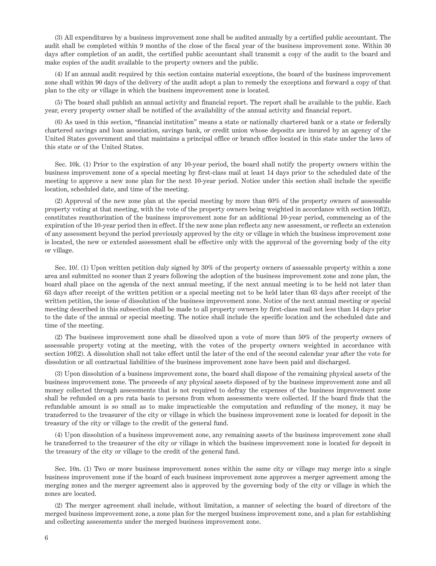(3) All expenditures by a business improvement zone shall be audited annually by a certified public accountant. The audit shall be completed within 9 months of the close of the fiscal year of the business improvement zone. Within 30 days after completion of an audit, the certified public accountant shall transmit a copy of the audit to the board and make copies of the audit available to the property owners and the public.

(4) If an annual audit required by this section contains material exceptions, the board of the business improvement zone shall within 90 days of the delivery of the audit adopt a plan to remedy the exceptions and forward a copy of that plan to the city or village in which the business improvement zone is located.

(5) The board shall publish an annual activity and financial report. The report shall be available to the public. Each year, every property owner shall be notified of the availability of the annual activity and financial report.

(6) As used in this section, "financial institution" means a state or nationally chartered bank or a state or federally chartered savings and loan association, savings bank, or credit union whose deposits are insured by an agency of the United States government and that maintains a principal office or branch office located in this state under the laws of this state or of the United States.

Sec. 10k. (1) Prior to the expiration of any 10-year period, the board shall notify the property owners within the business improvement zone of a special meeting by first-class mail at least 14 days prior to the scheduled date of the meeting to approve a new zone plan for the next 10-year period. Notice under this section shall include the specific location, scheduled date, and time of the meeting.

(2) Approval of the new zone plan at the special meeting by more than 60% of the property owners of assessable property voting at that meeting, with the vote of the property owners being weighted in accordance with section 10f(2), constitutes reauthorization of the business improvement zone for an additional 10-year period, commencing as of the expiration of the 10-year period then in effect. If the new zone plan reflects any new assessment, or reflects an extension of any assessment beyond the period previously approved by the city or village in which the business improvement zone is located, the new or extended assessment shall be effective only with the approval of the governing body of the city or village.

Sec. 10*l*. (1) Upon written petition duly signed by 30% of the property owners of assessable property within a zone area and submitted no sooner than 2 years following the adoption of the business improvement zone and zone plan, the board shall place on the agenda of the next annual meeting, if the next annual meeting is to be held not later than 63 days after receipt of the written petition or a special meeting not to be held later than 63 days after receipt of the written petition, the issue of dissolution of the business improvement zone. Notice of the next annual meeting or special meeting described in this subsection shall be made to all property owners by first-class mail not less than 14 days prior to the date of the annual or special meeting. The notice shall include the specific location and the scheduled date and time of the meeting.

(2) The business improvement zone shall be dissolved upon a vote of more than 50% of the property owners of assessable property voting at the meeting, with the votes of the property owners weighted in accordance with section 10f(2). A dissolution shall not take effect until the later of the end of the second calendar year after the vote for dissolution or all contractual liabilities of the business improvement zone have been paid and discharged.

(3) Upon dissolution of a business improvement zone, the board shall dispose of the remaining physical assets of the business improvement zone. The proceeds of any physical assets disposed of by the business improvement zone and all money collected through assessments that is not required to defray the expenses of the business improvement zone shall be refunded on a pro rata basis to persons from whom assessments were collected. If the board finds that the refundable amount is so small as to make impracticable the computation and refunding of the money, it may be transferred to the treasurer of the city or village in which the business improvement zone is located for deposit in the treasury of the city or village to the credit of the general fund.

(4) Upon dissolution of a business improvement zone, any remaining assets of the business improvement zone shall be transferred to the treasurer of the city or village in which the business improvement zone is located for deposit in the treasury of the city or village to the credit of the general fund.

Sec. 10n. (1) Two or more business improvement zones within the same city or village may merge into a single business improvement zone if the board of each business improvement zone approves a merger agreement among the merging zones and the merger agreement also is approved by the governing body of the city or village in which the zones are located.

(2) The merger agreement shall include, without limitation, a manner of selecting the board of directors of the merged business improvement zone, a zone plan for the merged business improvement zone, and a plan for establishing and collecting assessments under the merged business improvement zone.